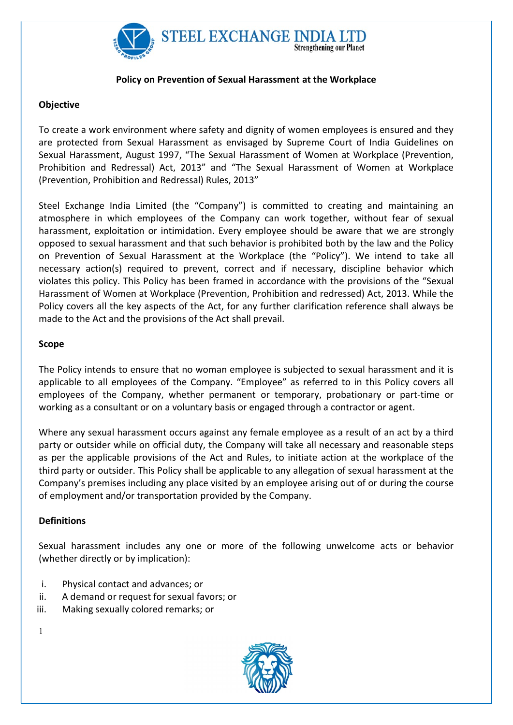

## Policy on Prevention of Sexual Harassment at the Workplace

## Objective

To create a work environment where safety and dignity of women employees is ensured and they are protected from Sexual Harassment as envisaged by Supreme Court of India Guidelines on Sexual Harassment, August 1997, "The Sexual Harassment of Women at Workplace (Prevention, Prohibition and Redressal) Act, 2013" and "The Sexual Harassment of Women at Workplace (Prevention, Prohibition and Redressal) Rules, 2013"

Steel Exchange India Limited (the "Company") is committed to creating and maintaining an atmosphere in which employees of the Company can work together, without fear of sexual harassment, exploitation or intimidation. Every employee should be aware that we are strongly opposed to sexual harassment and that such behavior is prohibited both by the law and the Policy on Prevention of Sexual Harassment at the Workplace (the "Policy"). We intend to take all necessary action(s) required to prevent, correct and if necessary, discipline behavior which violates this policy. This Policy has been framed in accordance with the provisions of the "Sexual Harassment of Women at Workplace (Prevention, Prohibition and redressed) Act, 2013. While the Policy covers all the key aspects of the Act, for any further clarification reference shall always be made to the Act and the provisions of the Act shall prevail.

#### Scope

The Policy intends to ensure that no woman employee is subjected to sexual harassment and it is applicable to all employees of the Company. "Employee" as referred to in this Policy covers all employees of the Company, whether permanent or temporary, probationary or part-time or working as a consultant or on a voluntary basis or engaged through a contractor or agent.

Where any sexual harassment occurs against any female employee as a result of an act by a third party or outsider while on official duty, the Company will take all necessary and reasonable steps as per the applicable provisions of the Act and Rules, to initiate action at the workplace of the third party or outsider. This Policy shall be applicable to any allegation of sexual harassment at the Company's premises including any place visited by an employee arising out of or during the course of employment and/or transportation provided by the Company.

### **Definitions**

Sexual harassment includes any one or more of the following unwelcome acts or behavior (whether directly or by implication):

- i. Physical contact and advances; or
- ii. A demand or request for sexual favors; or
- iii. Making sexually colored remarks; or

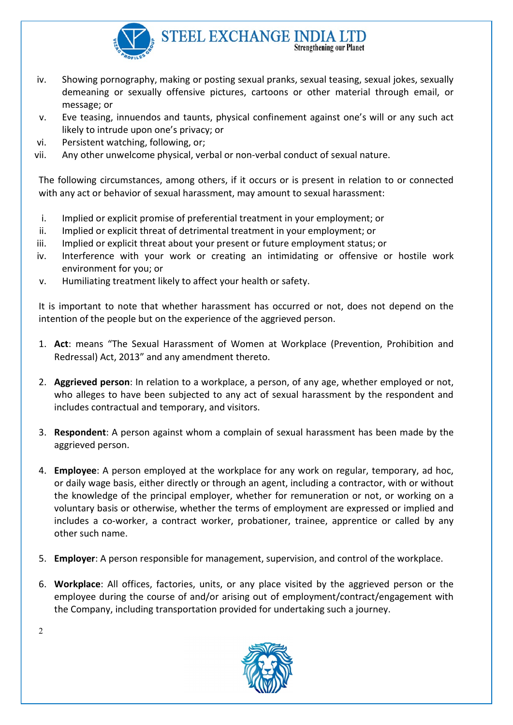

- iv. Showing pornography, making or posting sexual pranks, sexual teasing, sexual jokes, sexually demeaning or sexually offensive pictures, cartoons or other material through email, or message; or
- v. Eve teasing, innuendos and taunts, physical confinement against one's will or any such act likely to intrude upon one's privacy; or
- vi. Persistent watching, following, or;
- vii. Any other unwelcome physical, verbal or non-verbal conduct of sexual nature.

The following circumstances, among others, if it occurs or is present in relation to or connected with any act or behavior of sexual harassment, may amount to sexual harassment:

- i. Implied or explicit promise of preferential treatment in your employment; or
- ii. Implied or explicit threat of detrimental treatment in your employment; or
- iii. Implied or explicit threat about your present or future employment status; or
- iv. Interference with your work or creating an intimidating or offensive or hostile work environment for you; or
- v. Humiliating treatment likely to affect your health or safety.

It is important to note that whether harassment has occurred or not, does not depend on the intention of the people but on the experience of the aggrieved person.

- 1. Act: means "The Sexual Harassment of Women at Workplace (Prevention, Prohibition and Redressal) Act, 2013" and any amendment thereto.
- 2. Aggrieved person: In relation to a workplace, a person, of any age, whether employed or not, who alleges to have been subjected to any act of sexual harassment by the respondent and includes contractual and temporary, and visitors.
- 3. Respondent: A person against whom a complain of sexual harassment has been made by the aggrieved person.
- 4. **Employee**: A person employed at the workplace for any work on regular, temporary, ad hoc, or daily wage basis, either directly or through an agent, including a contractor, with or without the knowledge of the principal employer, whether for remuneration or not, or working on a voluntary basis or otherwise, whether the terms of employment are expressed or implied and includes a co-worker, a contract worker, probationer, trainee, apprentice or called by any other such name.
- 5. Employer: A person responsible for management, supervision, and control of the workplace.
- 6. Workplace: All offices, factories, units, or any place visited by the aggrieved person or the employee during the course of and/or arising out of employment/contract/engagement with the Company, including transportation provided for undertaking such a journey.

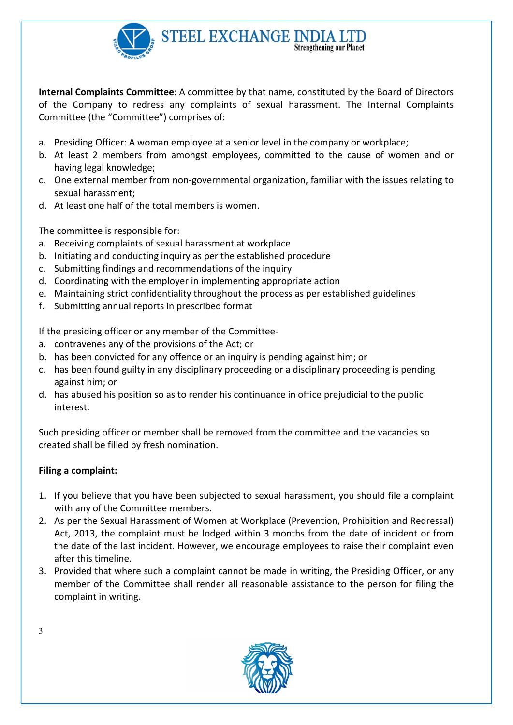

Internal Complaints Committee: A committee by that name, constituted by the Board of Directors of the Company to redress any complaints of sexual harassment. The Internal Complaints Committee (the "Committee") comprises of:

- a. Presiding Officer: A woman employee at a senior level in the company or workplace;
- b. At least 2 members from amongst employees, committed to the cause of women and or having legal knowledge;
- c. One external member from non-governmental organization, familiar with the issues relating to sexual harassment;
- d. At least one half of the total members is women.

The committee is responsible for:

- a. Receiving complaints of sexual harassment at workplace
- b. Initiating and conducting inquiry as per the established procedure
- c. Submitting findings and recommendations of the inquiry
- d. Coordinating with the employer in implementing appropriate action
- e. Maintaining strict confidentiality throughout the process as per established guidelines
- f. Submitting annual reports in prescribed format

If the presiding officer or any member of the Committee-

- a. contravenes any of the provisions of the Act; or
- b. has been convicted for any offence or an inquiry is pending against him; or
- c. has been found guilty in any disciplinary proceeding or a disciplinary proceeding is pending against him; or
- d. has abused his position so as to render his continuance in office prejudicial to the public interest.

Such presiding officer or member shall be removed from the committee and the vacancies so created shall be filled by fresh nomination.

# Filing a complaint:

- 1. If you believe that you have been subjected to sexual harassment, you should file a complaint with any of the Committee members.
- 2. As per the Sexual Harassment of Women at Workplace (Prevention, Prohibition and Redressal) Act, 2013, the complaint must be lodged within 3 months from the date of incident or from the date of the last incident. However, we encourage employees to raise their complaint even after this timeline.
- 3. Provided that where such a complaint cannot be made in writing, the Presiding Officer, or any member of the Committee shall render all reasonable assistance to the person for filing the complaint in writing.

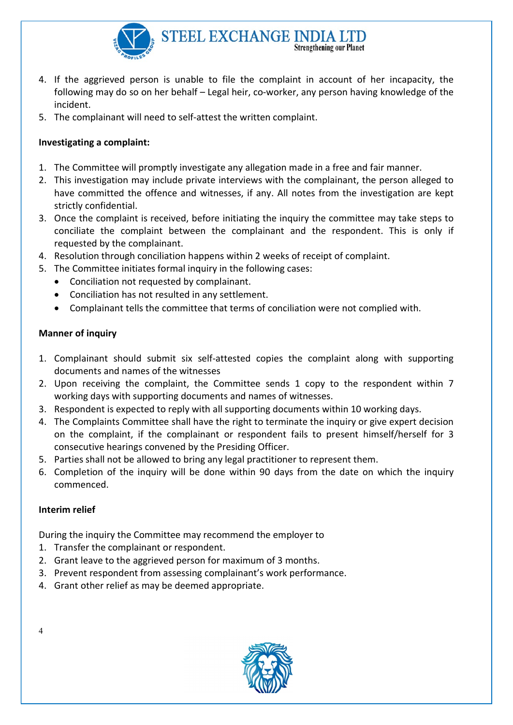

- 4. If the aggrieved person is unable to file the complaint in account of her incapacity, the following may do so on her behalf – Legal heir, co-worker, any person having knowledge of the incident.
- 5. The complainant will need to self-attest the written complaint.

# Investigating a complaint:

- 1. The Committee will promptly investigate any allegation made in a free and fair manner.
- 2. This investigation may include private interviews with the complainant, the person alleged to have committed the offence and witnesses, if any. All notes from the investigation are kept strictly confidential.
- 3. Once the complaint is received, before initiating the inquiry the committee may take steps to conciliate the complaint between the complainant and the respondent. This is only if requested by the complainant.
- 4. Resolution through conciliation happens within 2 weeks of receipt of complaint.
- 5. The Committee initiates formal inquiry in the following cases:
	- Conciliation not requested by complainant.
	- Conciliation has not resulted in any settlement.
	- Complainant tells the committee that terms of conciliation were not complied with.

# Manner of inquiry

- 1. Complainant should submit six self-attested copies the complaint along with supporting documents and names of the witnesses
- 2. Upon receiving the complaint, the Committee sends 1 copy to the respondent within 7 working days with supporting documents and names of witnesses.
- 3. Respondent is expected to reply with all supporting documents within 10 working days.
- 4. The Complaints Committee shall have the right to terminate the inquiry or give expert decision on the complaint, if the complainant or respondent fails to present himself/herself for 3 consecutive hearings convened by the Presiding Officer.
- 5. Parties shall not be allowed to bring any legal practitioner to represent them.
- 6. Completion of the inquiry will be done within 90 days from the date on which the inquiry commenced.

# Interim relief

During the inquiry the Committee may recommend the employer to

- 1. Transfer the complainant or respondent.
- 2. Grant leave to the aggrieved person for maximum of 3 months.
- 3. Prevent respondent from assessing complainant's work performance.
- 4. Grant other relief as may be deemed appropriate.